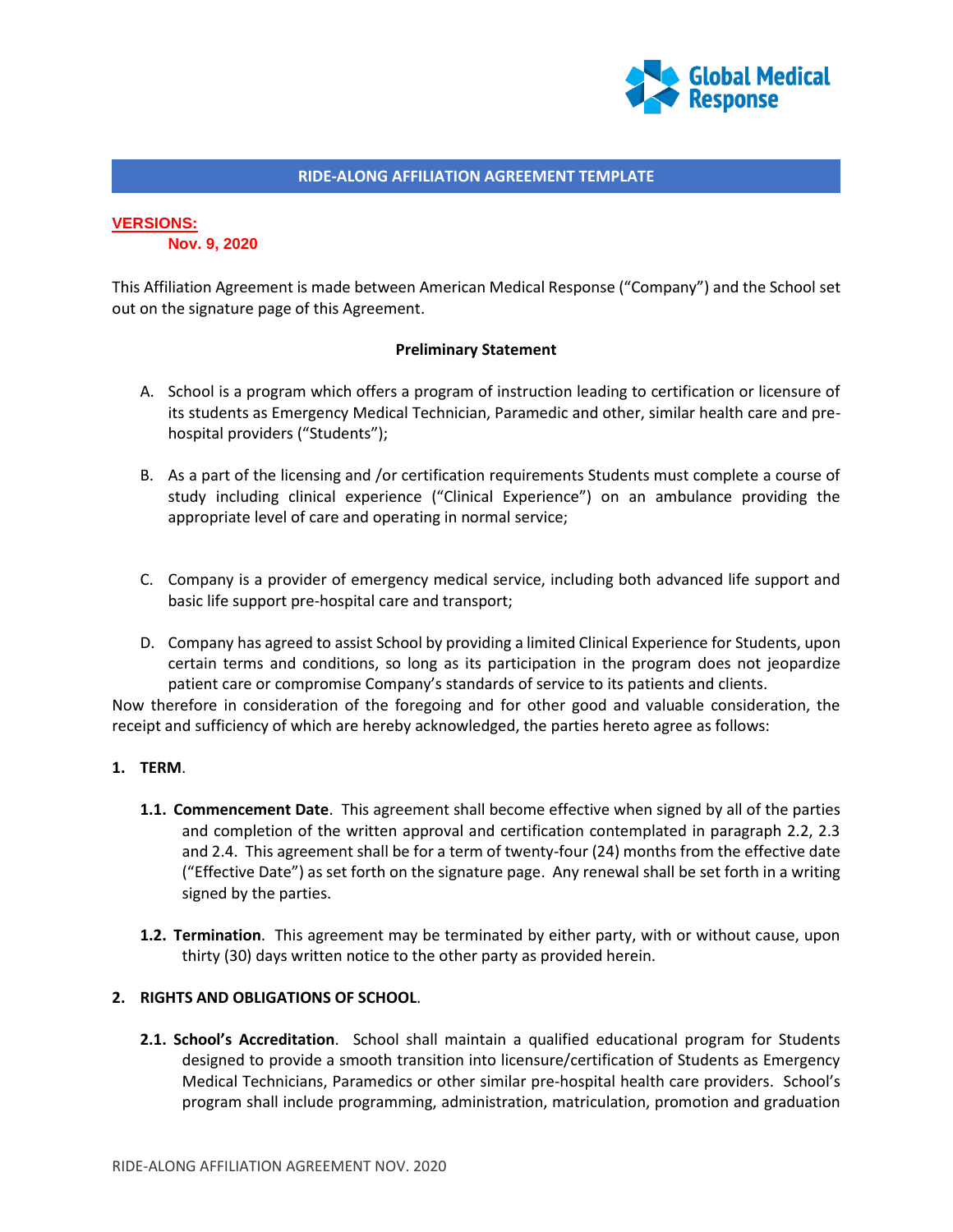

## **VERSIONS:**

**Nov. 9, 2020**

This Affiliation Agreement is made between American Medical Response ("Company") and the School set out on the signature page of this Agreement.

### **Preliminary Statement**

- A. School is a program which offers a program of instruction leading to certification or licensure of its students as Emergency Medical Technician, Paramedic and other, similar health care and prehospital providers ("Students");
- B. As a part of the licensing and /or certification requirements Students must complete a course of study including clinical experience ("Clinical Experience") on an ambulance providing the appropriate level of care and operating in normal service;
- C. Company is a provider of emergency medical service, including both advanced life support and basic life support pre-hospital care and transport;
- D. Company has agreed to assist School by providing a limited Clinical Experience for Students, upon certain terms and conditions, so long as its participation in the program does not jeopardize patient care or compromise Company's standards of service to its patients and clients.

Now therefore in consideration of the foregoing and for other good and valuable consideration, the receipt and sufficiency of which are hereby acknowledged, the parties hereto agree as follows:

## **1. TERM**.

- **1.1. Commencement Date**. This agreement shall become effective when signed by all of the parties and completion of the written approval and certification contemplated in paragraph 2.2, 2.3 and 2.4. This agreement shall be for a term of twenty-four (24) months from the effective date ("Effective Date") as set forth on the signature page. Any renewal shall be set forth in a writing signed by the parties.
- **1.2. Termination**. This agreement may be terminated by either party, with or without cause, upon thirty (30) days written notice to the other party as provided herein.

## **2. RIGHTS AND OBLIGATIONS OF SCHOOL**.

**2.1. School's Accreditation**. School shall maintain a qualified educational program for Students designed to provide a smooth transition into licensure/certification of Students as Emergency Medical Technicians, Paramedics or other similar pre-hospital health care providers. School's program shall include programming, administration, matriculation, promotion and graduation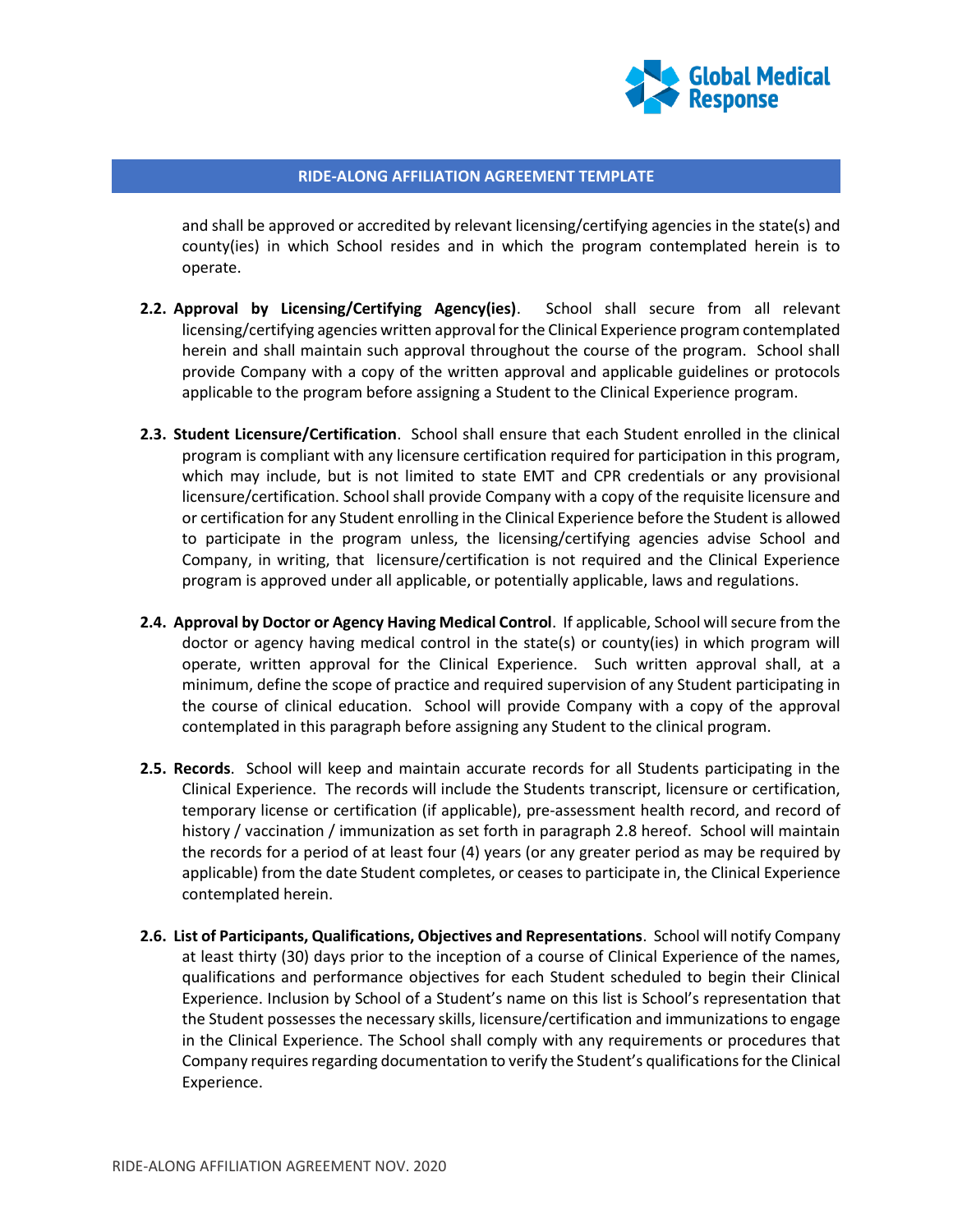

and shall be approved or accredited by relevant licensing/certifying agencies in the state(s) and county(ies) in which School resides and in which the program contemplated herein is to operate.

- **2.2. Approval by Licensing/Certifying Agency(ies)**. School shall secure from all relevant licensing/certifying agencies written approval for the Clinical Experience program contemplated herein and shall maintain such approval throughout the course of the program. School shall provide Company with a copy of the written approval and applicable guidelines or protocols applicable to the program before assigning a Student to the Clinical Experience program.
- **2.3. Student Licensure/Certification**. School shall ensure that each Student enrolled in the clinical program is compliant with any licensure certification required for participation in this program, which may include, but is not limited to state EMT and CPR credentials or any provisional licensure/certification. School shall provide Company with a copy of the requisite licensure and or certification for any Student enrolling in the Clinical Experience before the Student is allowed to participate in the program unless, the licensing/certifying agencies advise School and Company, in writing, that licensure/certification is not required and the Clinical Experience program is approved under all applicable, or potentially applicable, laws and regulations.
- **2.4. Approval by Doctor or Agency Having Medical Control**. If applicable, School will secure from the doctor or agency having medical control in the state(s) or county(ies) in which program will operate, written approval for the Clinical Experience. Such written approval shall, at a minimum, define the scope of practice and required supervision of any Student participating in the course of clinical education. School will provide Company with a copy of the approval contemplated in this paragraph before assigning any Student to the clinical program.
- **2.5. Records**. School will keep and maintain accurate records for all Students participating in the Clinical Experience. The records will include the Students transcript, licensure or certification, temporary license or certification (if applicable), pre-assessment health record, and record of history / vaccination / immunization as set forth in paragraph 2.8 hereof. School will maintain the records for a period of at least four (4) years (or any greater period as may be required by applicable) from the date Student completes, or ceases to participate in, the Clinical Experience contemplated herein.
- **2.6. List of Participants, Qualifications, Objectives and Representations**. School will notify Company at least thirty (30) days prior to the inception of a course of Clinical Experience of the names, qualifications and performance objectives for each Student scheduled to begin their Clinical Experience. Inclusion by School of a Student's name on this list is School's representation that the Student possesses the necessary skills, licensure/certification and immunizations to engage in the Clinical Experience. The School shall comply with any requirements or procedures that Company requires regarding documentation to verify the Student's qualifications for the Clinical Experience.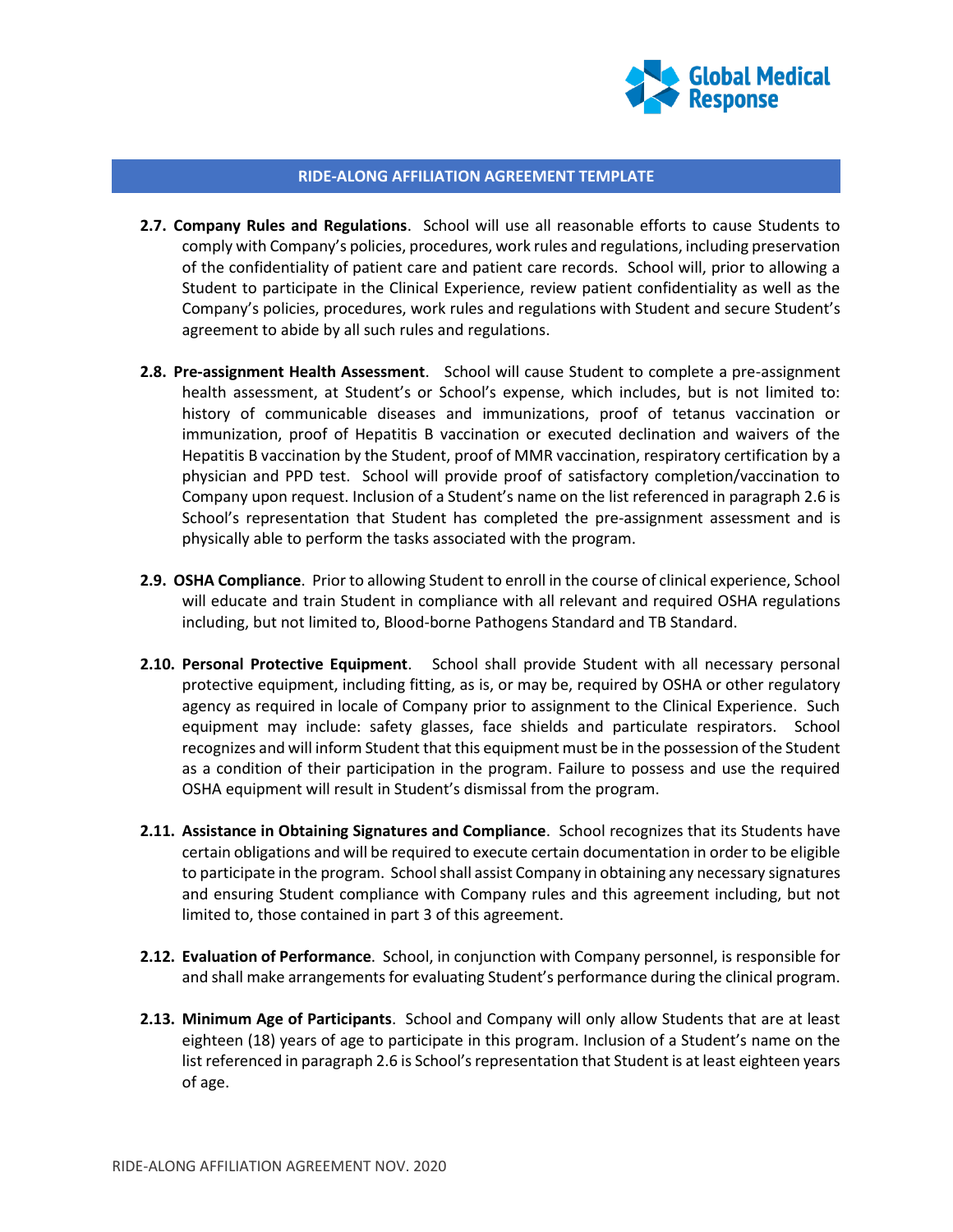

- **2.7. Company Rules and Regulations**. School will use all reasonable efforts to cause Students to comply with Company's policies, procedures, work rules and regulations, including preservation of the confidentiality of patient care and patient care records. School will, prior to allowing a Student to participate in the Clinical Experience, review patient confidentiality as well as the Company's policies, procedures, work rules and regulations with Student and secure Student's agreement to abide by all such rules and regulations.
- **2.8. Pre-assignment Health Assessment**. School will cause Student to complete a pre-assignment health assessment, at Student's or School's expense, which includes, but is not limited to: history of communicable diseases and immunizations, proof of tetanus vaccination or immunization, proof of Hepatitis B vaccination or executed declination and waivers of the Hepatitis B vaccination by the Student, proof of MMR vaccination, respiratory certification by a physician and PPD test. School will provide proof of satisfactory completion/vaccination to Company upon request. Inclusion of a Student's name on the list referenced in paragraph 2.6 is School's representation that Student has completed the pre-assignment assessment and is physically able to perform the tasks associated with the program.
- **2.9. OSHA Compliance**. Prior to allowing Student to enroll in the course of clinical experience, School will educate and train Student in compliance with all relevant and required OSHA regulations including, but not limited to, Blood-borne Pathogens Standard and TB Standard.
- **2.10. Personal Protective Equipment**. School shall provide Student with all necessary personal protective equipment, including fitting, as is, or may be, required by OSHA or other regulatory agency as required in locale of Company prior to assignment to the Clinical Experience. Such equipment may include: safety glasses, face shields and particulate respirators. School recognizes and will inform Student that this equipment must be in the possession of the Student as a condition of their participation in the program. Failure to possess and use the required OSHA equipment will result in Student's dismissal from the program.
- **2.11. Assistance in Obtaining Signatures and Compliance**. School recognizes that its Students have certain obligations and will be required to execute certain documentation in order to be eligible to participate in the program. School shall assist Company in obtaining any necessary signatures and ensuring Student compliance with Company rules and this agreement including, but not limited to, those contained in part 3 of this agreement.
- **2.12. Evaluation of Performance**. School, in conjunction with Company personnel, is responsible for and shall make arrangements for evaluating Student's performance during the clinical program.
- **2.13. Minimum Age of Participants**. School and Company will only allow Students that are at least eighteen (18) years of age to participate in this program. Inclusion of a Student's name on the list referenced in paragraph 2.6 is School's representation that Student is at least eighteen years of age.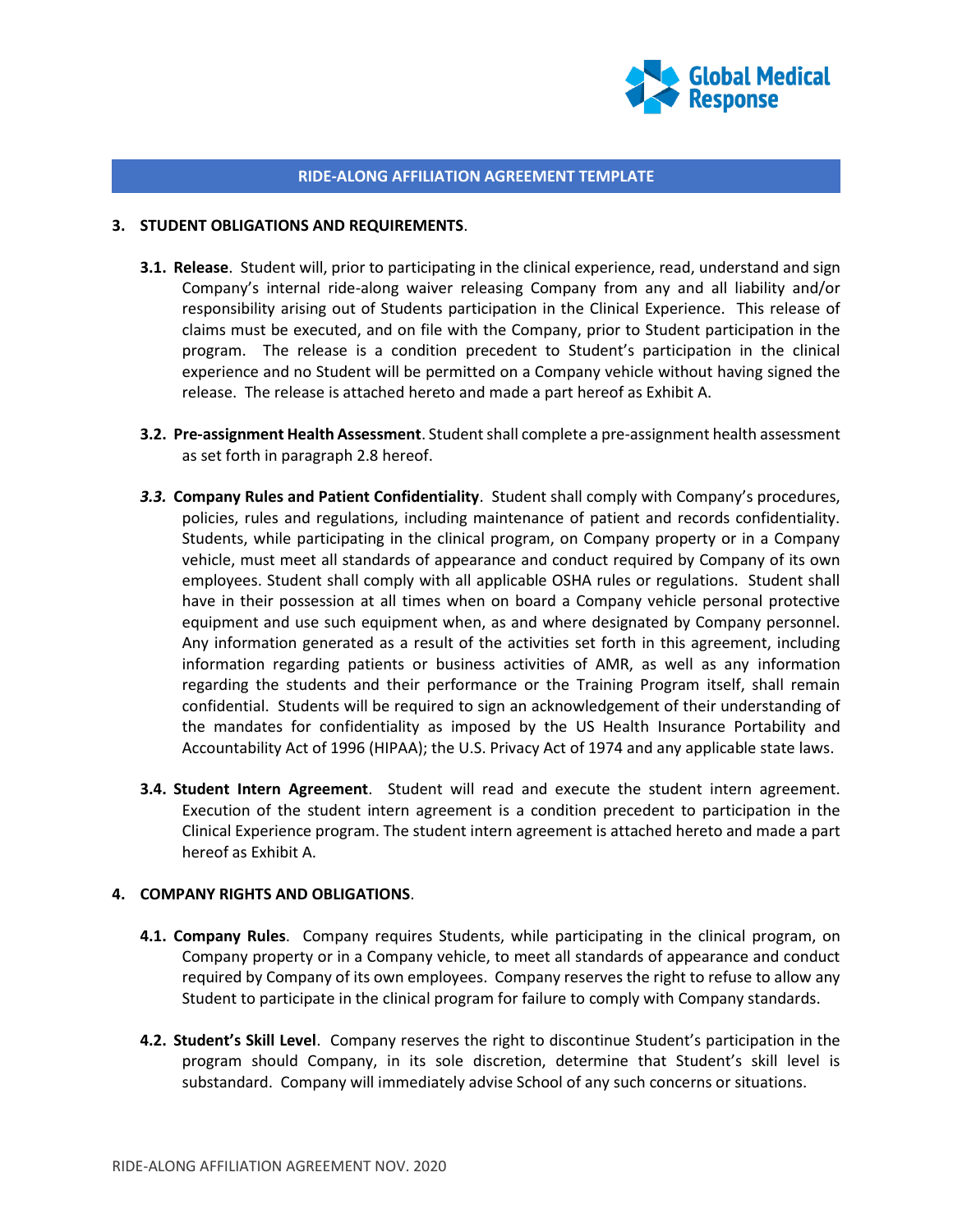

#### **3. STUDENT OBLIGATIONS AND REQUIREMENTS**.

- **3.1. Release**. Student will, prior to participating in the clinical experience, read, understand and sign Company's internal ride-along waiver releasing Company from any and all liability and/or responsibility arising out of Students participation in the Clinical Experience. This release of claims must be executed, and on file with the Company, prior to Student participation in the program. The release is a condition precedent to Student's participation in the clinical experience and no Student will be permitted on a Company vehicle without having signed the release. The release is attached hereto and made a part hereof as Exhibit A.
- **3.2. Pre-assignment Health Assessment**. Student shall complete a pre-assignment health assessment as set forth in paragraph 2.8 hereof.
- *3.3.* **Company Rules and Patient Confidentiality**. Student shall comply with Company's procedures, policies, rules and regulations, including maintenance of patient and records confidentiality. Students, while participating in the clinical program, on Company property or in a Company vehicle, must meet all standards of appearance and conduct required by Company of its own employees. Student shall comply with all applicable OSHA rules or regulations. Student shall have in their possession at all times when on board a Company vehicle personal protective equipment and use such equipment when, as and where designated by Company personnel. Any information generated as a result of the activities set forth in this agreement, including information regarding patients or business activities of AMR, as well as any information regarding the students and their performance or the Training Program itself, shall remain confidential. Students will be required to sign an acknowledgement of their understanding of the mandates for confidentiality as imposed by the US Health Insurance Portability and Accountability Act of 1996 (HIPAA); the U.S. Privacy Act of 1974 and any applicable state laws.
- **3.4. Student Intern Agreement**. Student will read and execute the student intern agreement. Execution of the student intern agreement is a condition precedent to participation in the Clinical Experience program. The student intern agreement is attached hereto and made a part hereof as Exhibit A.

## **4. COMPANY RIGHTS AND OBLIGATIONS**.

- **4.1. Company Rules**. Company requires Students, while participating in the clinical program, on Company property or in a Company vehicle, to meet all standards of appearance and conduct required by Company of its own employees. Company reserves the right to refuse to allow any Student to participate in the clinical program for failure to comply with Company standards.
- **4.2. Student's Skill Level**. Company reserves the right to discontinue Student's participation in the program should Company, in its sole discretion, determine that Student's skill level is substandard. Company will immediately advise School of any such concerns or situations.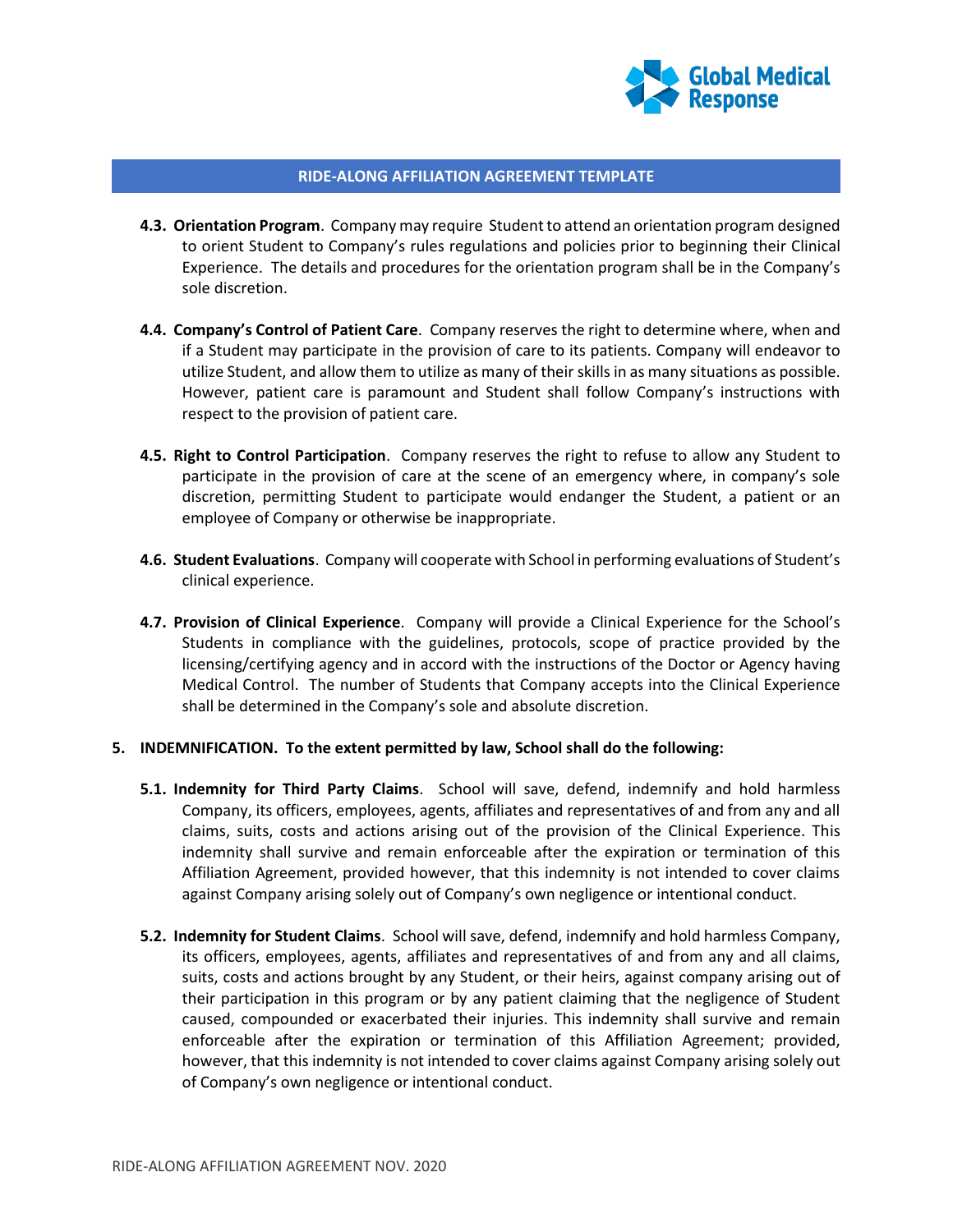

- **4.3. Orientation Program**. Company may require Student to attend an orientation program designed to orient Student to Company's rules regulations and policies prior to beginning their Clinical Experience. The details and procedures for the orientation program shall be in the Company's sole discretion.
- **4.4. Company's Control of Patient Care**. Company reserves the right to determine where, when and if a Student may participate in the provision of care to its patients. Company will endeavor to utilize Student, and allow them to utilize as many of their skills in as many situations as possible. However, patient care is paramount and Student shall follow Company's instructions with respect to the provision of patient care.
- **4.5. Right to Control Participation**. Company reserves the right to refuse to allow any Student to participate in the provision of care at the scene of an emergency where, in company's sole discretion, permitting Student to participate would endanger the Student, a patient or an employee of Company or otherwise be inappropriate.
- **4.6. Student Evaluations**. Company will cooperate with School in performing evaluations of Student's clinical experience.
- **4.7. Provision of Clinical Experience**. Company will provide a Clinical Experience for the School's Students in compliance with the guidelines, protocols, scope of practice provided by the licensing/certifying agency and in accord with the instructions of the Doctor or Agency having Medical Control. The number of Students that Company accepts into the Clinical Experience shall be determined in the Company's sole and absolute discretion.

#### **5. INDEMNIFICATION. To the extent permitted by law, School shall do the following:**

- **5.1. Indemnity for Third Party Claims**. School will save, defend, indemnify and hold harmless Company, its officers, employees, agents, affiliates and representatives of and from any and all claims, suits, costs and actions arising out of the provision of the Clinical Experience. This indemnity shall survive and remain enforceable after the expiration or termination of this Affiliation Agreement, provided however, that this indemnity is not intended to cover claims against Company arising solely out of Company's own negligence or intentional conduct.
- **5.2. Indemnity for Student Claims**. School will save, defend, indemnify and hold harmless Company, its officers, employees, agents, affiliates and representatives of and from any and all claims, suits, costs and actions brought by any Student, or their heirs, against company arising out of their participation in this program or by any patient claiming that the negligence of Student caused, compounded or exacerbated their injuries. This indemnity shall survive and remain enforceable after the expiration or termination of this Affiliation Agreement; provided, however, that this indemnity is not intended to cover claims against Company arising solely out of Company's own negligence or intentional conduct.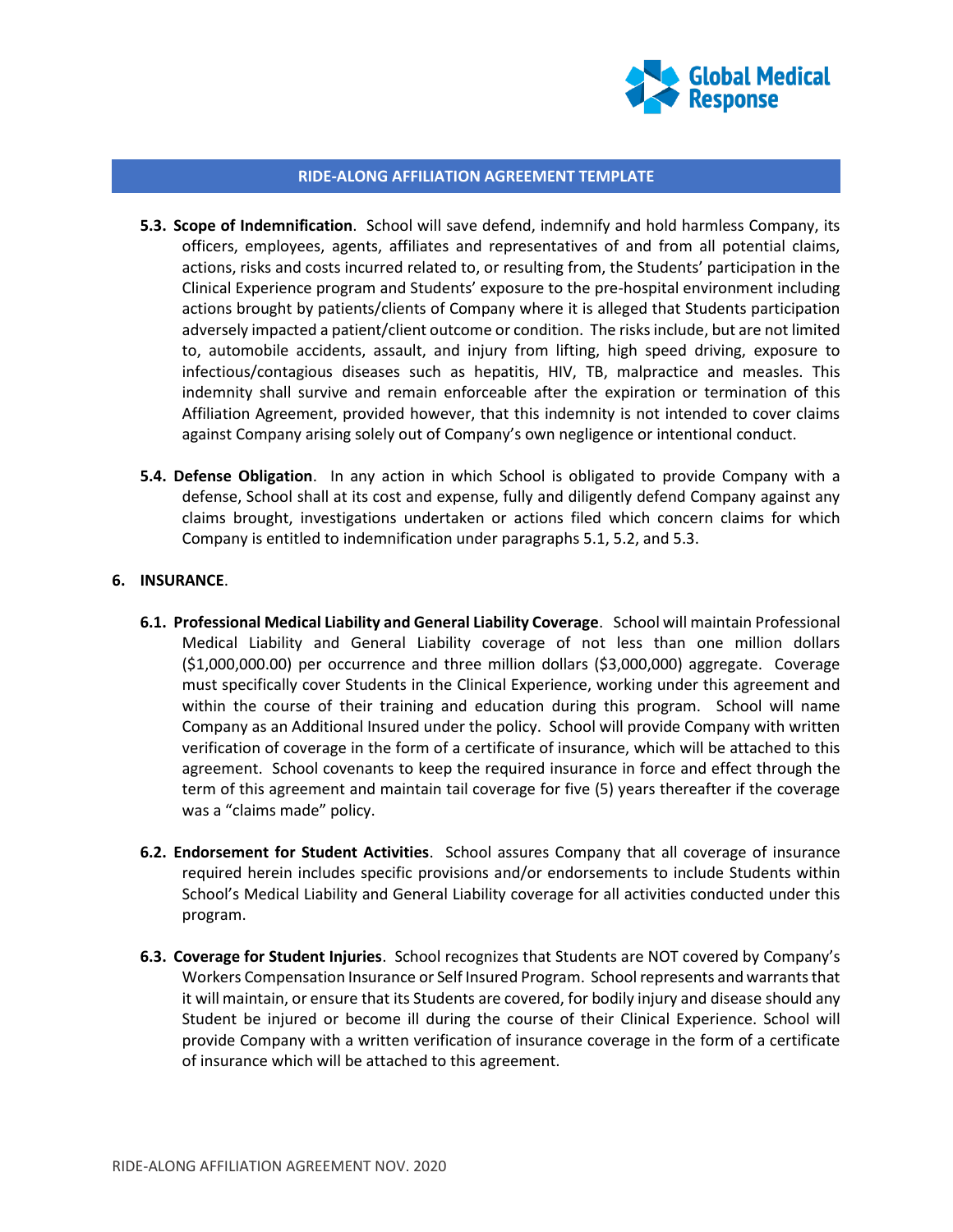

- **5.3. Scope of Indemnification**. School will save defend, indemnify and hold harmless Company, its officers, employees, agents, affiliates and representatives of and from all potential claims, actions, risks and costs incurred related to, or resulting from, the Students' participation in the Clinical Experience program and Students' exposure to the pre-hospital environment including actions brought by patients/clients of Company where it is alleged that Students participation adversely impacted a patient/client outcome or condition. The risks include, but are not limited to, automobile accidents, assault, and injury from lifting, high speed driving, exposure to infectious/contagious diseases such as hepatitis, HIV, TB, malpractice and measles. This indemnity shall survive and remain enforceable after the expiration or termination of this Affiliation Agreement, provided however, that this indemnity is not intended to cover claims against Company arising solely out of Company's own negligence or intentional conduct.
- **5.4. Defense Obligation**. In any action in which School is obligated to provide Company with a defense, School shall at its cost and expense, fully and diligently defend Company against any claims brought, investigations undertaken or actions filed which concern claims for which Company is entitled to indemnification under paragraphs 5.1, 5.2, and 5.3.

### **6. INSURANCE**.

- **6.1. Professional Medical Liability and General Liability Coverage**. School will maintain Professional Medical Liability and General Liability coverage of not less than one million dollars (\$1,000,000.00) per occurrence and three million dollars (\$3,000,000) aggregate. Coverage must specifically cover Students in the Clinical Experience, working under this agreement and within the course of their training and education during this program. School will name Company as an Additional Insured under the policy. School will provide Company with written verification of coverage in the form of a certificate of insurance, which will be attached to this agreement. School covenants to keep the required insurance in force and effect through the term of this agreement and maintain tail coverage for five (5) years thereafter if the coverage was a "claims made" policy.
- **6.2. Endorsement for Student Activities**. School assures Company that all coverage of insurance required herein includes specific provisions and/or endorsements to include Students within School's Medical Liability and General Liability coverage for all activities conducted under this program.
- **6.3. Coverage for Student Injuries**. School recognizes that Students are NOT covered by Company's Workers Compensation Insurance or Self Insured Program. School represents and warrants that it will maintain, or ensure that its Students are covered, for bodily injury and disease should any Student be injured or become ill during the course of their Clinical Experience. School will provide Company with a written verification of insurance coverage in the form of a certificate of insurance which will be attached to this agreement.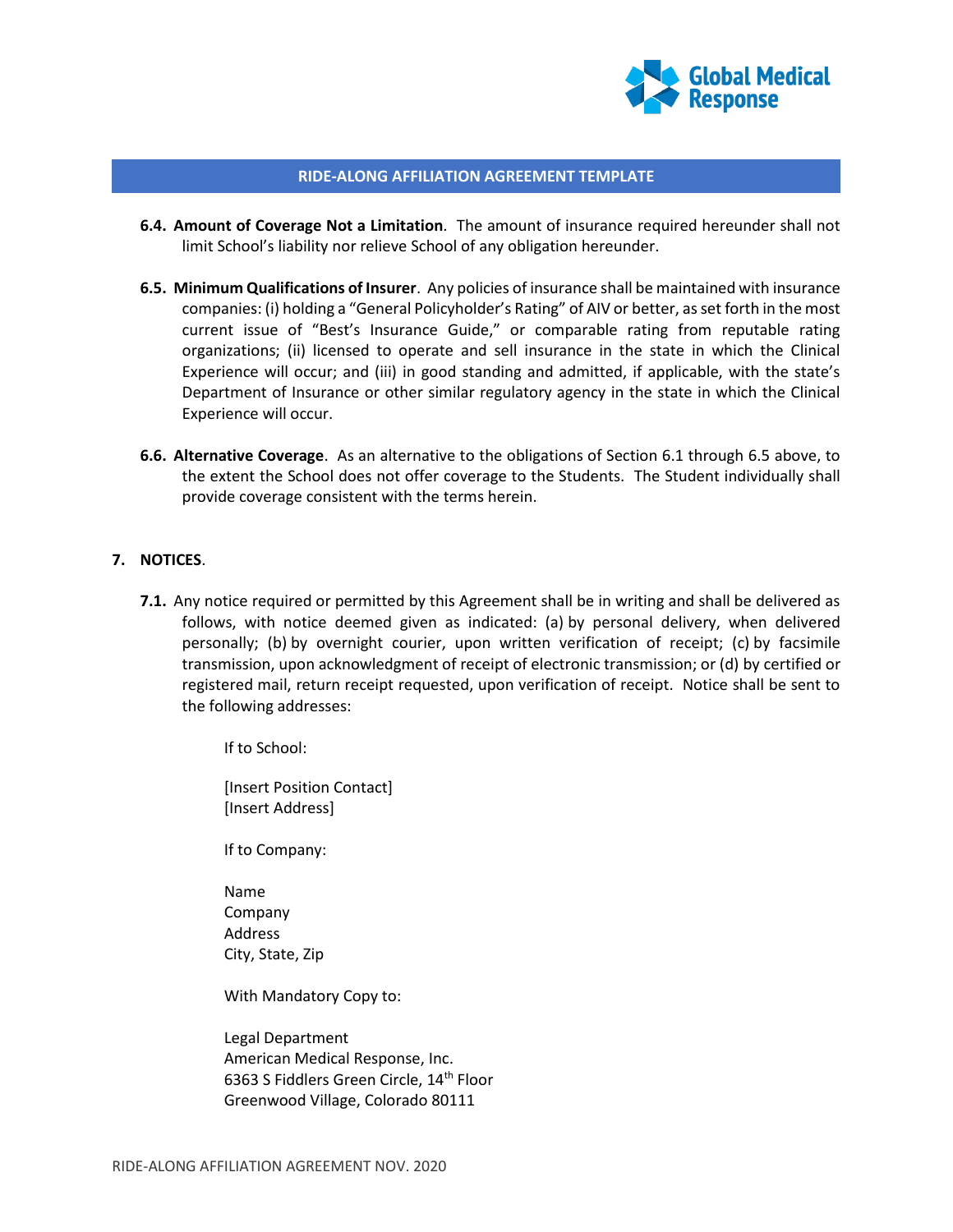

- **6.4. Amount of Coverage Not a Limitation**. The amount of insurance required hereunder shall not limit School's liability nor relieve School of any obligation hereunder.
- **6.5. Minimum Qualifications of Insurer**. Any policies of insurance shall be maintained with insurance companies: (i) holding a "General Policyholder's Rating" of AIV or better, as set forth in the most current issue of "Best's Insurance Guide," or comparable rating from reputable rating organizations; (ii) licensed to operate and sell insurance in the state in which the Clinical Experience will occur; and (iii) in good standing and admitted, if applicable, with the state's Department of Insurance or other similar regulatory agency in the state in which the Clinical Experience will occur.
- **6.6. Alternative Coverage**. As an alternative to the obligations of Section 6.1 through 6.5 above, to the extent the School does not offer coverage to the Students. The Student individually shall provide coverage consistent with the terms herein.

#### **7. NOTICES**.

**7.1.** Any notice required or permitted by this Agreement shall be in writing and shall be delivered as follows, with notice deemed given as indicated: (a) by personal delivery, when delivered personally; (b) by overnight courier, upon written verification of receipt; (c) by facsimile transmission, upon acknowledgment of receipt of electronic transmission; or (d) by certified or registered mail, return receipt requested, upon verification of receipt. Notice shall be sent to the following addresses:

If to School:

[Insert Position Contact] [Insert Address]

If to Company:

Name Company Address City, State, Zip

With Mandatory Copy to:

Legal Department American Medical Response, Inc. 6363 S Fiddlers Green Circle, 14<sup>th</sup> Floor Greenwood Village, Colorado 80111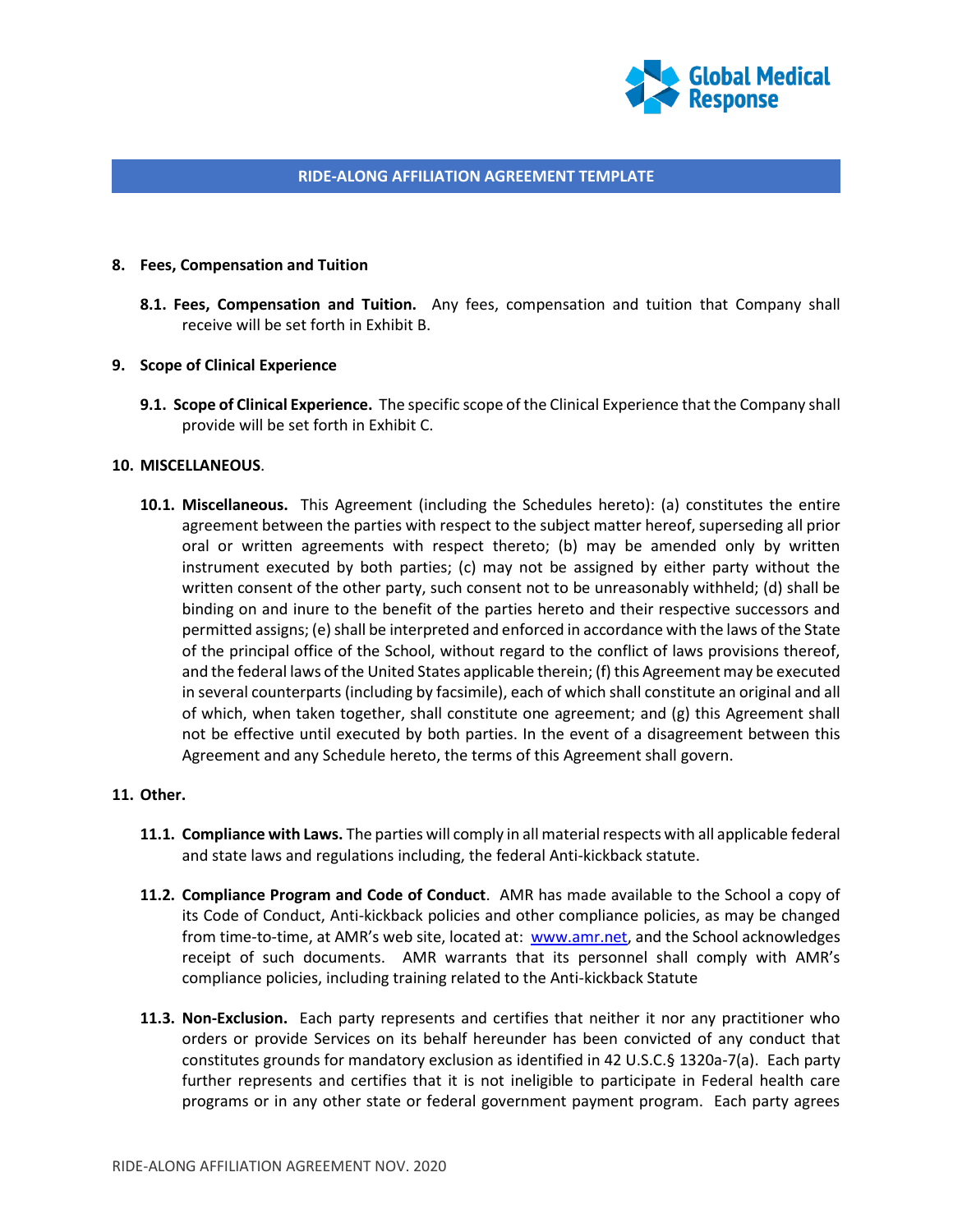

#### **8. Fees, Compensation and Tuition**

**8.1. Fees, Compensation and Tuition.** Any fees, compensation and tuition that Company shall receive will be set forth in Exhibit B.

#### **9. Scope of Clinical Experience**

**9.1. Scope of Clinical Experience.** The specific scope of the Clinical Experience that the Company shall provide will be set forth in Exhibit C.

#### **10. MISCELLANEOUS**.

**10.1. Miscellaneous.** This Agreement (including the Schedules hereto): (a) constitutes the entire agreement between the parties with respect to the subject matter hereof, superseding all prior oral or written agreements with respect thereto; (b) may be amended only by written instrument executed by both parties; (c) may not be assigned by either party without the written consent of the other party, such consent not to be unreasonably withheld; (d) shall be binding on and inure to the benefit of the parties hereto and their respective successors and permitted assigns; (e) shall be interpreted and enforced in accordance with the laws of the State of the principal office of the School, without regard to the conflict of laws provisions thereof, and the federal laws of the United States applicable therein; (f) this Agreement may be executed in several counterparts (including by facsimile), each of which shall constitute an original and all of which, when taken together, shall constitute one agreement; and (g) this Agreement shall not be effective until executed by both parties. In the event of a disagreement between this Agreement and any Schedule hereto, the terms of this Agreement shall govern.

## **11. Other.**

- **11.1. Compliance with Laws.** The parties will comply in all material respects with all applicable federal and state laws and regulations including, the federal Anti-kickback statute.
- **11.2. Compliance Program and Code of Conduct**. AMR has made available to the School a copy of its Code of Conduct, Anti-kickback policies and other compliance policies, as may be changed from time-to-time, at AMR's web site, located at: [www.amr.net,](http://www.amr.net/) and the School acknowledges receipt of such documents. AMR warrants that its personnel shall comply with AMR's compliance policies, including training related to the Anti-kickback Statute
- **11.3. Non-Exclusion.** Each party represents and certifies that neither it nor any practitioner who orders or provide Services on its behalf hereunder has been convicted of any conduct that constitutes grounds for mandatory exclusion as identified in 42 U.S.C.§ 1320a-7(a). Each party further represents and certifies that it is not ineligible to participate in Federal health care programs or in any other state or federal government payment program. Each party agrees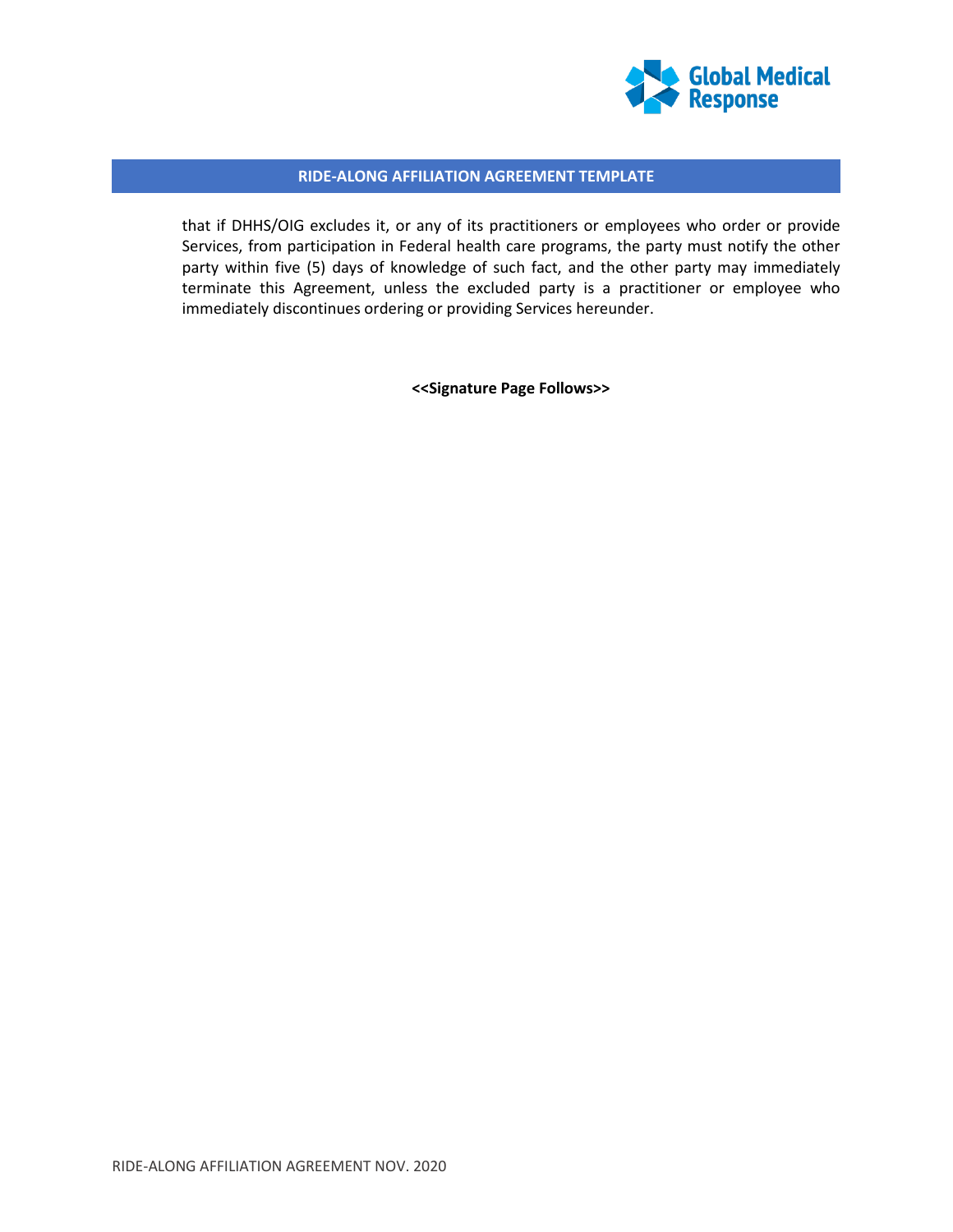

that if DHHS/OIG excludes it, or any of its practitioners or employees who order or provide Services, from participation in Federal health care programs, the party must notify the other party within five (5) days of knowledge of such fact, and the other party may immediately terminate this Agreement, unless the excluded party is a practitioner or employee who immediately discontinues ordering or providing Services hereunder.

**<<Signature Page Follows>>**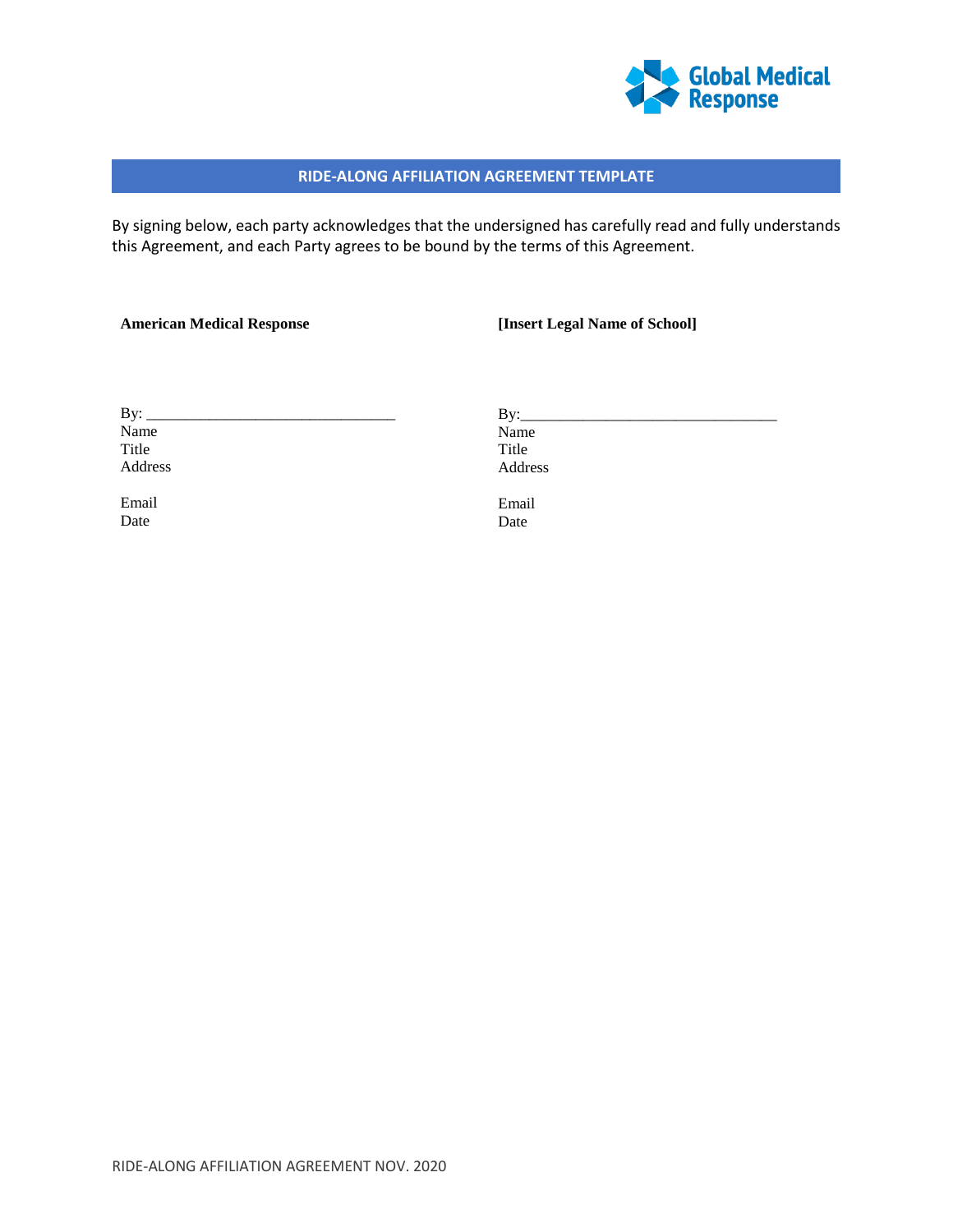

By signing below, each party acknowledges that the undersigned has carefully read and fully understands this Agreement, and each Party agrees to be bound by the terms of this Agreement.

Date

#### **American Medical Response**

#### **[Insert Legal Name of School]**

By:  $\_\_$ Name Title Address  $By:$ Name Title Address Email

Email Date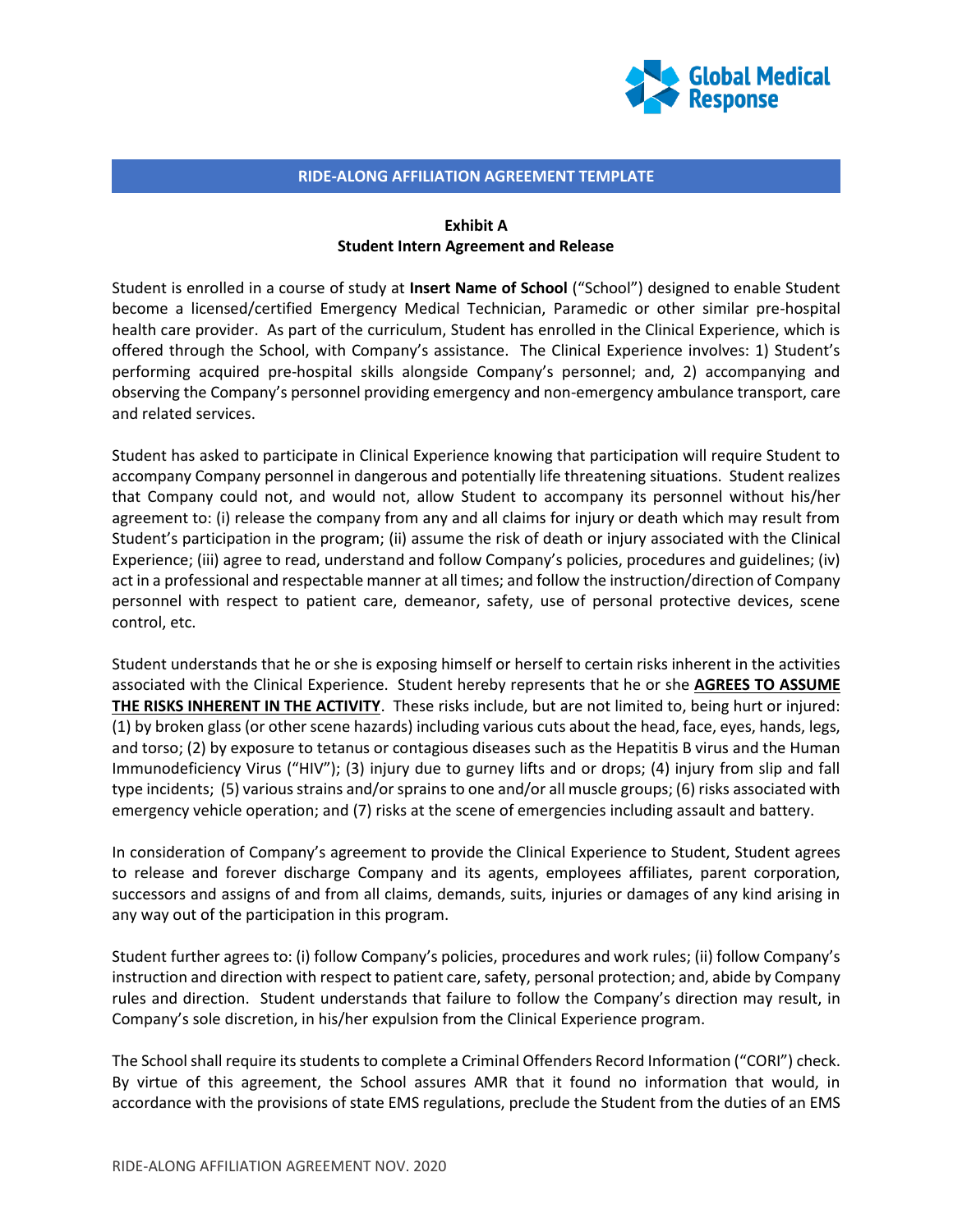

### **Exhibit A Student Intern Agreement and Release**

Student is enrolled in a course of study at **Insert Name of School** ("School") designed to enable Student become a licensed/certified Emergency Medical Technician, Paramedic or other similar pre-hospital health care provider. As part of the curriculum, Student has enrolled in the Clinical Experience, which is offered through the School, with Company's assistance. The Clinical Experience involves: 1) Student's performing acquired pre-hospital skills alongside Company's personnel; and, 2) accompanying and observing the Company's personnel providing emergency and non-emergency ambulance transport, care and related services.

Student has asked to participate in Clinical Experience knowing that participation will require Student to accompany Company personnel in dangerous and potentially life threatening situations. Student realizes that Company could not, and would not, allow Student to accompany its personnel without his/her agreement to: (i) release the company from any and all claims for injury or death which may result from Student's participation in the program; (ii) assume the risk of death or injury associated with the Clinical Experience; (iii) agree to read, understand and follow Company's policies, procedures and guidelines; (iv) act in a professional and respectable manner at all times; and follow the instruction/direction of Company personnel with respect to patient care, demeanor, safety, use of personal protective devices, scene control, etc.

Student understands that he or she is exposing himself or herself to certain risks inherent in the activities associated with the Clinical Experience. Student hereby represents that he or she **AGREES TO ASSUME THE RISKS INHERENT IN THE ACTIVITY**. These risks include, but are not limited to, being hurt or injured: (1) by broken glass (or other scene hazards) including various cuts about the head, face, eyes, hands, legs, and torso; (2) by exposure to tetanus or contagious diseases such as the Hepatitis B virus and the Human Immunodeficiency Virus ("HIV"); (3) injury due to gurney lifts and or drops; (4) injury from slip and fall type incidents; (5) various strains and/or sprains to one and/or all muscle groups; (6) risks associated with emergency vehicle operation; and (7) risks at the scene of emergencies including assault and battery.

In consideration of Company's agreement to provide the Clinical Experience to Student, Student agrees to release and forever discharge Company and its agents, employees affiliates, parent corporation, successors and assigns of and from all claims, demands, suits, injuries or damages of any kind arising in any way out of the participation in this program.

Student further agrees to: (i) follow Company's policies, procedures and work rules; (ii) follow Company's instruction and direction with respect to patient care, safety, personal protection; and, abide by Company rules and direction. Student understands that failure to follow the Company's direction may result, in Company's sole discretion, in his/her expulsion from the Clinical Experience program.

The School shall require its students to complete a Criminal Offenders Record Information ("CORI") check. By virtue of this agreement, the School assures AMR that it found no information that would, in accordance with the provisions of state EMS regulations, preclude the Student from the duties of an EMS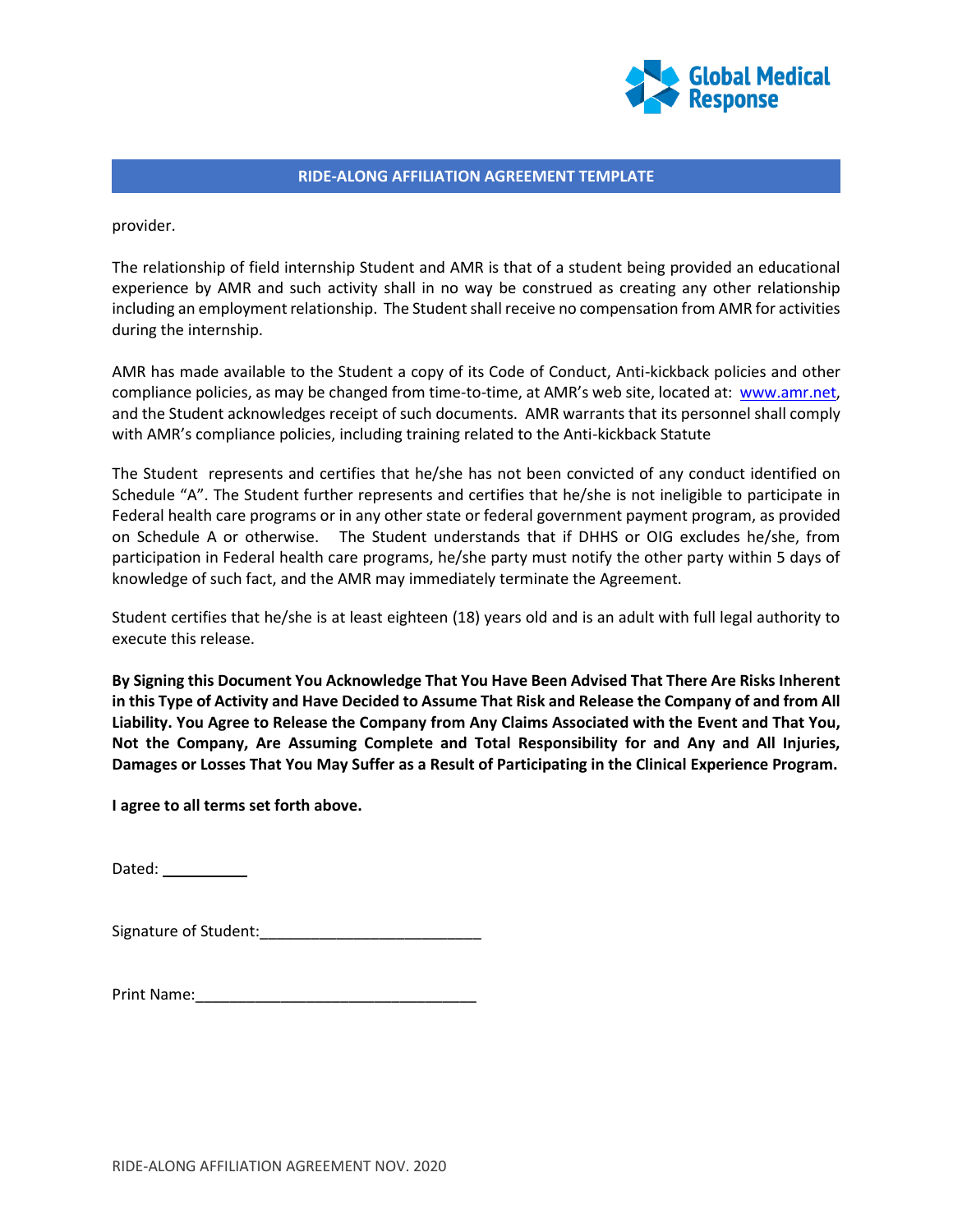

provider.

The relationship of field internship Student and AMR is that of a student being provided an educational experience by AMR and such activity shall in no way be construed as creating any other relationship including an employment relationship. The Student shall receive no compensation from AMR for activities during the internship.

AMR has made available to the Student a copy of its Code of Conduct, Anti-kickback policies and other compliance policies, as may be changed from time-to-time, at AMR's web site, located at: [www.amr.net,](http://www.amr.net/) and the Student acknowledges receipt of such documents. AMR warrants that its personnel shall comply with AMR's compliance policies, including training related to the Anti-kickback Statute

The Student represents and certifies that he/she has not been convicted of any conduct identified on Schedule "A". The Student further represents and certifies that he/she is not ineligible to participate in Federal health care programs or in any other state or federal government payment program, as provided on Schedule A or otherwise. The Student understands that if DHHS or OIG excludes he/she, from participation in Federal health care programs, he/she party must notify the other party within 5 days of knowledge of such fact, and the AMR may immediately terminate the Agreement.

Student certifies that he/she is at least eighteen (18) years old and is an adult with full legal authority to execute this release.

**By Signing this Document You Acknowledge That You Have Been Advised That There Are Risks Inherent in this Type of Activity and Have Decided to Assume That Risk and Release the Company of and from All Liability. You Agree to Release the Company from Any Claims Associated with the Event and That You, Not the Company, Are Assuming Complete and Total Responsibility for and Any and All Injuries, Damages or Losses That You May Suffer as a Result of Participating in the Clinical Experience Program.**

**I agree to all terms set forth above.**

Dated:

Signature of Student:

| Print Name: |  |  |
|-------------|--|--|
|             |  |  |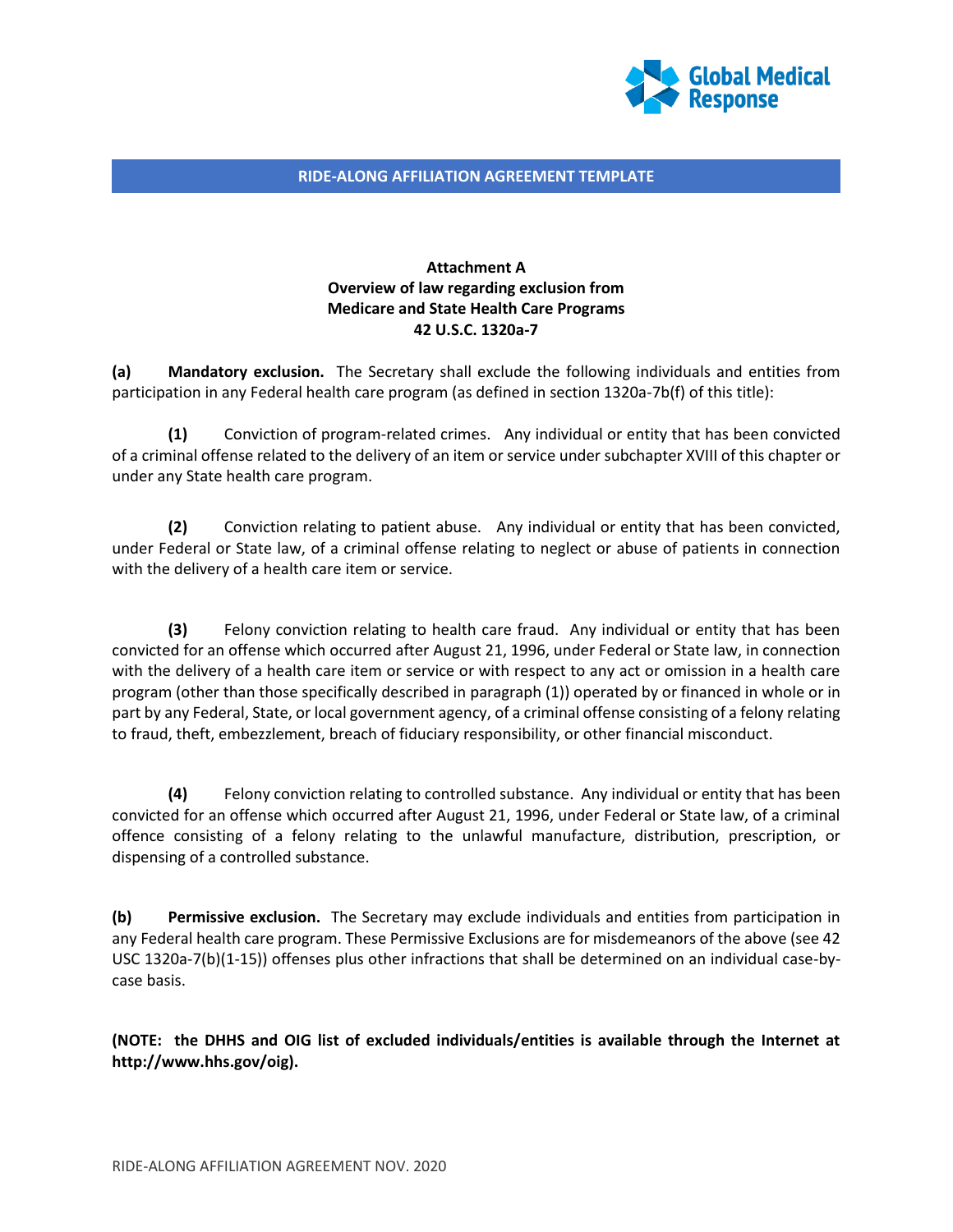

# **Attachment A Overview of law regarding exclusion from Medicare and State Health Care Programs 42 U.S.C. 1320a-7**

**(a) Mandatory exclusion.** The Secretary shall exclude the following individuals and entities from participation in any Federal health care program (as defined in section 1320a-7b(f) of this title):

**(1)** Conviction of program-related crimes. Any individual or entity that has been convicted of a criminal offense related to the delivery of an item or service under subchapter XVIII of this chapter or under any State health care program.

**(2)** Conviction relating to patient abuse. Any individual or entity that has been convicted, under Federal or State law, of a criminal offense relating to neglect or abuse of patients in connection with the delivery of a health care item or service.

**(3)** Felony conviction relating to health care fraud. Any individual or entity that has been convicted for an offense which occurred after August 21, 1996, under Federal or State law, in connection with the delivery of a health care item or service or with respect to any act or omission in a health care program (other than those specifically described in paragraph (1)) operated by or financed in whole or in part by any Federal, State, or local government agency, of a criminal offense consisting of a felony relating to fraud, theft, embezzlement, breach of fiduciary responsibility, or other financial misconduct.

**(4)** Felony conviction relating to controlled substance. Any individual or entity that has been convicted for an offense which occurred after August 21, 1996, under Federal or State law, of a criminal offence consisting of a felony relating to the unlawful manufacture, distribution, prescription, or dispensing of a controlled substance.

**(b) Permissive exclusion.** The Secretary may exclude individuals and entities from participation in any Federal health care program. These Permissive Exclusions are for misdemeanors of the above (see 42 USC 1320a-7(b)(1-15)) offenses plus other infractions that shall be determined on an individual case-bycase basis.

**(NOTE: the DHHS and OIG list of excluded individuals/entities is available through the Internet at http://www.hhs.gov/oig).**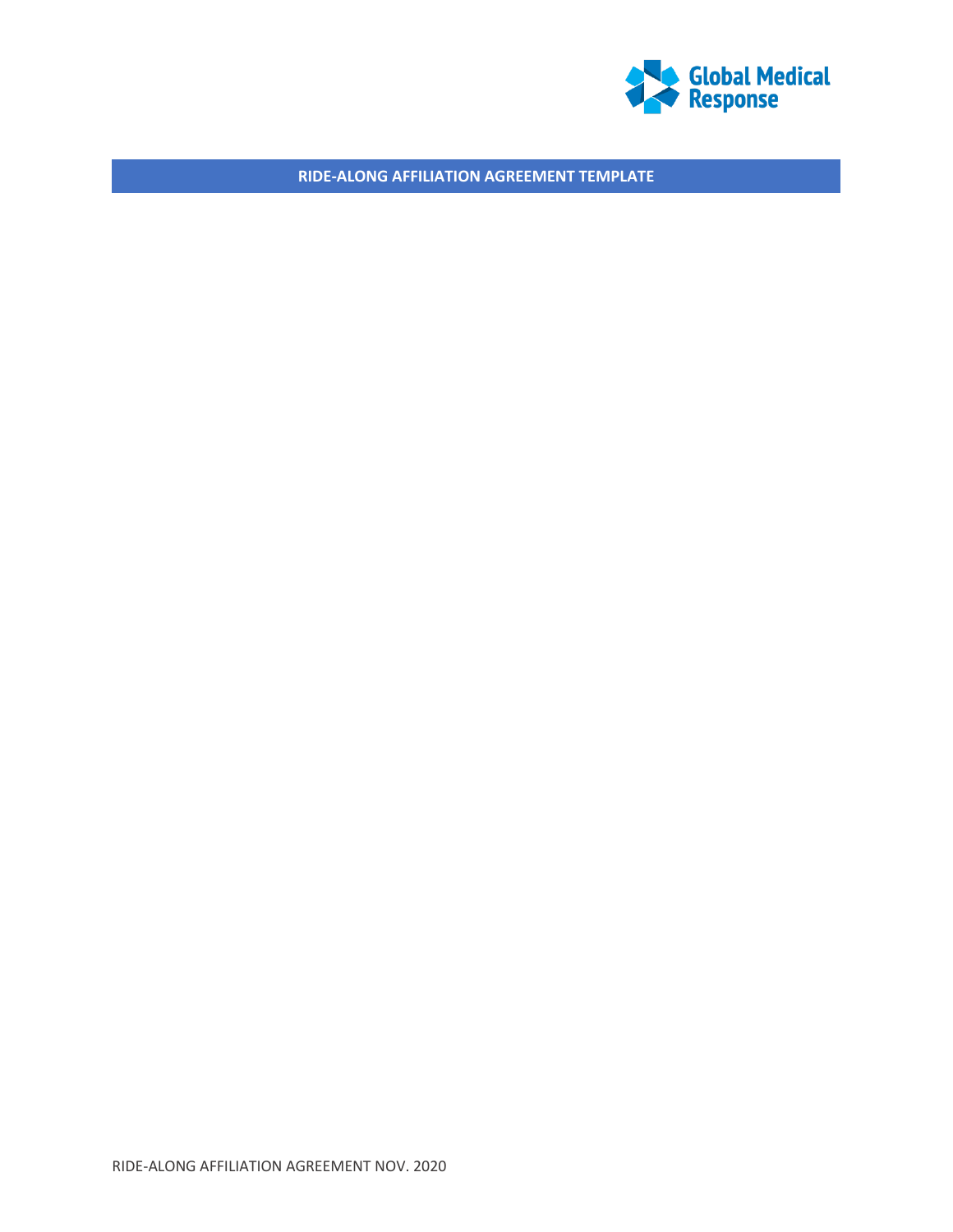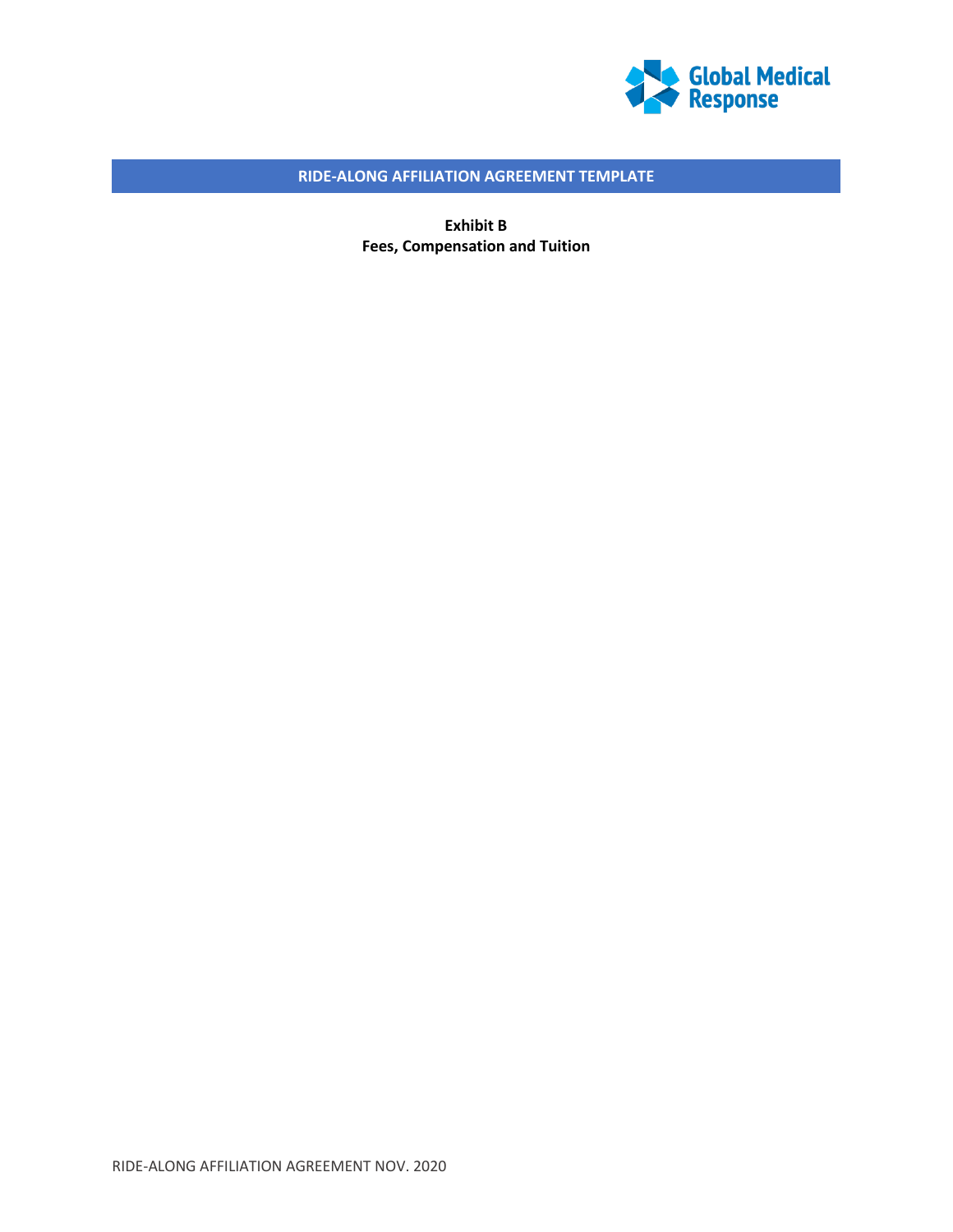

**Exhibit B Fees, Compensation and Tuition**